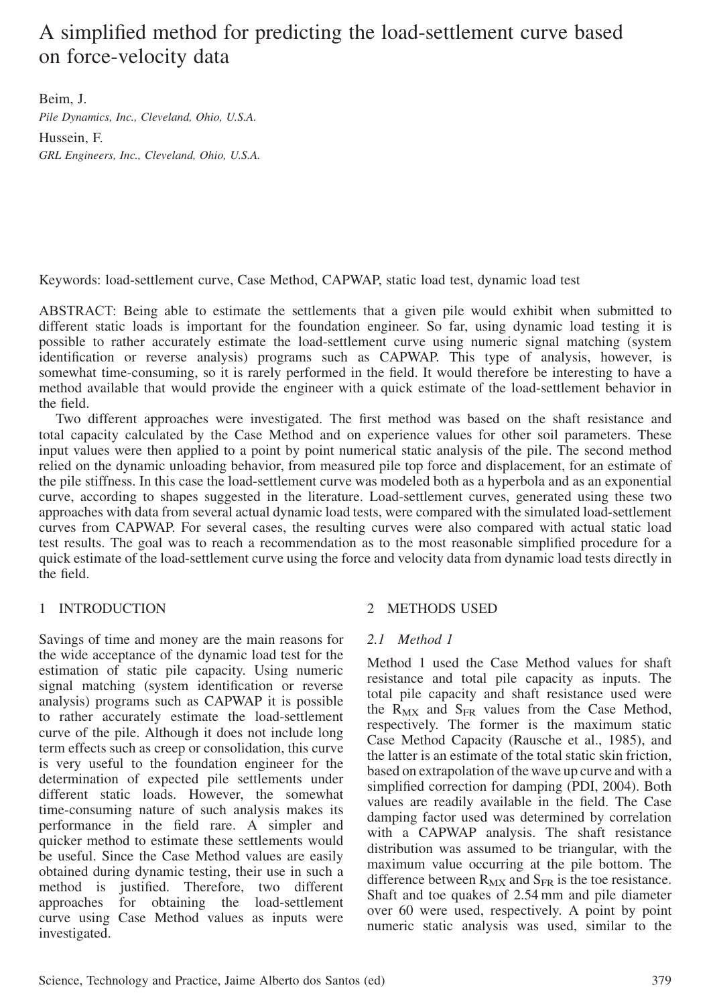# A simplified method for predicting the load-settlement curve based on force-velocity data

Beim, J. Pile Dynamics, Inc., Cleveland, Ohio, U.S.A. Hussein, F. GRL Engineers, Inc., Cleveland, Ohio, U.S.A.

Keywords: load-settlement curve, Case Method, CAPWAP, static load test, dynamic load test

ABSTRACT: Being able to estimate the settlements that a given pile would exhibit when submitted to different static loads is important for the foundation engineer. So far, using dynamic load testing it is possible to rather accurately estimate the load-settlement curve using numeric signal matching (system identification or reverse analysis) programs such as CAPWAP. This type of analysis, however, is somewhat time-consuming, so it is rarely performed in the field. It would therefore be interesting to have a method available that would provide the engineer with a quick estimate of the load-settlement behavior in the field.

Two different approaches were investigated. The first method was based on the shaft resistance and total capacity calculated by the Case Method and on experience values for other soil parameters. These input values were then applied to a point by point numerical static analysis of the pile. The second method relied on the dynamic unloading behavior, from measured pile top force and displacement, for an estimate of the pile stiffness. In this case the load-settlement curve was modeled both as a hyperbola and as an exponential curve, according to shapes suggested in the literature. Load-settlement curves, generated using these two approaches with data from several actual dynamic load tests, were compared with the simulated load-settlement curves from CAPWAP. For several cases, the resulting curves were also compared with actual static load test results. The goal was to reach a recommendation as to the most reasonable simplified procedure for a quick estimate of the load-settlement curve using the force and velocity data from dynamic load tests directly in the field.

# 1 INTRODUCTION

Savings of time and money are the main reasons for the wide acceptance of the dynamic load test for the estimation of static pile capacity. Using numeric signal matching (system identification or reverse analysis) programs such as CAPWAP it is possible to rather accurately estimate the load-settlement curve of the pile. Although it does not include long term effects such as creep or consolidation, this curve is very useful to the foundation engineer for the determination of expected pile settlements under different static loads. However, the somewhat time-consuming nature of such analysis makes its performance in the field rare. A simpler and quicker method to estimate these settlements would be useful. Since the Case Method values are easily obtained during dynamic testing, their use in such a method is justified. Therefore, two different approaches for obtaining the load-settlement curve using Case Method values as inputs were investigated.

# 2 METHODS USED

# 2.1 Method 1

Method 1 used the Case Method values for shaft resistance and total pile capacity as inputs. The total pile capacity and shaft resistance used were the  $R_{MX}$  and  $S_{FR}$  values from the Case Method, respectively. The former is the maximum static Case Method Capacity (Rausche et al., 1985), and the latter is an estimate of the total static skin friction, based on extrapolation of the wave up curve and with a simplified correction for damping (PDI, 2004). Both values are readily available in the field. The Case damping factor used was determined by correlation with a CAPWAP analysis. The shaft resistance distribution was assumed to be triangular, with the maximum value occurring at the pile bottom. The difference between  $R_{MX}$  and  $S_{FR}$  is the toe resistance. Shaft and toe quakes of 2.54 mm and pile diameter over 60 were used, respectively. A point by point numeric static analysis was used, similar to the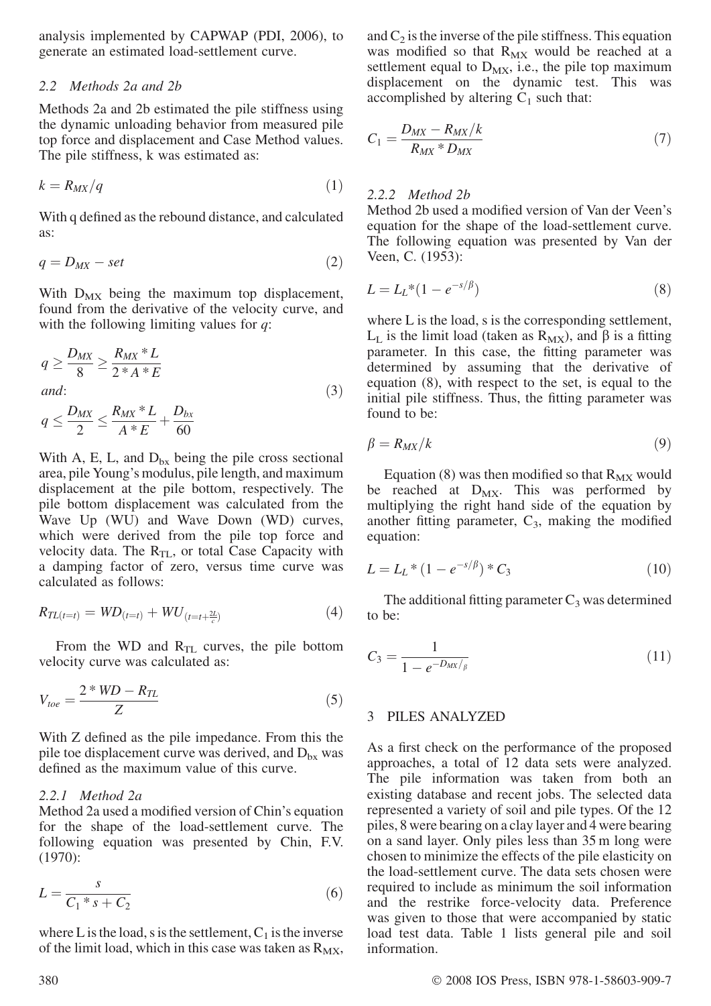analysis implemented by CAPWAP (PDI, 2006), to generate an estimated load-settlement curve.

#### 2.2 Methods 2a and 2b

Methods 2a and 2b estimated the pile stiffness using the dynamic unloading behavior from measured pile top force and displacement and Case Method values. The pile stiffness, k was estimated as:

$$
k = R_{MX}/q \tag{1}
$$

With q defined as the rebound distance, and calculated as:

$$
q = D_{MX} - set \tag{2}
$$

With  $D_{MX}$  being the maximum top displacement, found from the derivative of the velocity curve, and with the following limiting values for  $q$ :

$$
q \ge \frac{D_{MX}}{8} \ge \frac{R_{MX} * L}{2 * A * E}
$$
  
and:  
Draw R\_{MX} \* I D:

$$
q \le \frac{D_{MX}}{2} \le \frac{R_{MX} * L}{A * E} + \frac{D_{bx}}{60}
$$

With A, E, L, and  $D_{bx}$  being the pile cross sectional area, pile Young's modulus, pile length, and maximum displacement at the pile bottom, respectively. The pile bottom displacement was calculated from the Wave Up (WU) and Wave Down (WD) curves, which were derived from the pile top force and velocity data. The  $R_{TL}$ , or total Case Capacity with a damping factor of zero, versus time curve was calculated as follows:

$$
R_{TL(t=t)} = WD_{(t=t)} + WU_{(t=t+\frac{2L}{c})}
$$
\n(4)

From the WD and  $R_{TL}$  curves, the pile bottom velocity curve was calculated as:

$$
V_{toe} = \frac{2*WD - R_{TL}}{Z} \tag{5}
$$

With Z defined as the pile impedance. From this the pile toe displacement curve was derived, and  $D_{bx}$  was defined as the maximum value of this curve.

#### 2.2.1 Method 2a

Method 2a used a modified version of Chin's equation for the shape of the load-settlement curve. The following equation was presented by Chin, F.V. (1970):

$$
L = \frac{s}{C_1 * s + C_2} \tag{6}
$$

where L is the load, s is the settlement,  $C_1$  is the inverse of the limit load, which in this case was taken as  $R_{MX}$ , and  $C_2$  is the inverse of the pile stiffness. This equation was modified so that  $R_{MX}$  would be reached at a settlement equal to  $D_{MX}$ , i.e., the pile top maximum displacement on the dynamic test. This was accomplished by altering  $C_1$  such that:

$$
C_1 = \frac{D_{MX} - R_{MX}/k}{R_{MX} * D_{MX}}\tag{7}
$$

#### 2.2.2 Method 2b

Method 2b used a modified version of Van der Veen's equation for the shape of the load-settlement curve. The following equation was presented by Van der Veen, C. (1953):

$$
L = L_L^*(1 - e^{-s/\beta})
$$
 (8)

where L is the load, s is the corresponding settlement,  $L<sub>L</sub>$  is the limit load (taken as  $R<sub>MX</sub>$ ), and  $\beta$  is a fitting parameter. In this case, the fitting parameter was determined by assuming that the derivative of equation (8), with respect to the set, is equal to the initial pile stiffness. Thus, the fitting parameter was found to be:

$$
\beta = R_{MX}/k \tag{9}
$$

Equation (8) was then modified so that  $R_{MX}$  would be reached at  $D_{MX}$ . This was performed by multiplying the right hand side of the equation by another fitting parameter,  $C_3$ , making the modified equation:

$$
L = L_L * (1 - e^{-s/\beta}) * C_3 \tag{10}
$$

The additional fitting parameter  $C_3$  was determined to be:

$$
C_3 = \frac{1}{1 - e^{-D_{MX}/\beta}}
$$
 (11)

## 3 PILES ANALYZED

As a first check on the performance of the proposed approaches, a total of 12 data sets were analyzed. The pile information was taken from both an existing database and recent jobs. The selected data represented a variety of soil and pile types. Of the 12 piles, 8 were bearing on a clay layer and 4 were bearing on a sand layer. Only piles less than 35 m long were chosen to minimize the effects of the pile elasticity on the load-settlement curve. The data sets chosen were required to include as minimum the soil information and the restrike force-velocity data. Preference was given to those that were accompanied by static load test data. Table 1 lists general pile and soil information.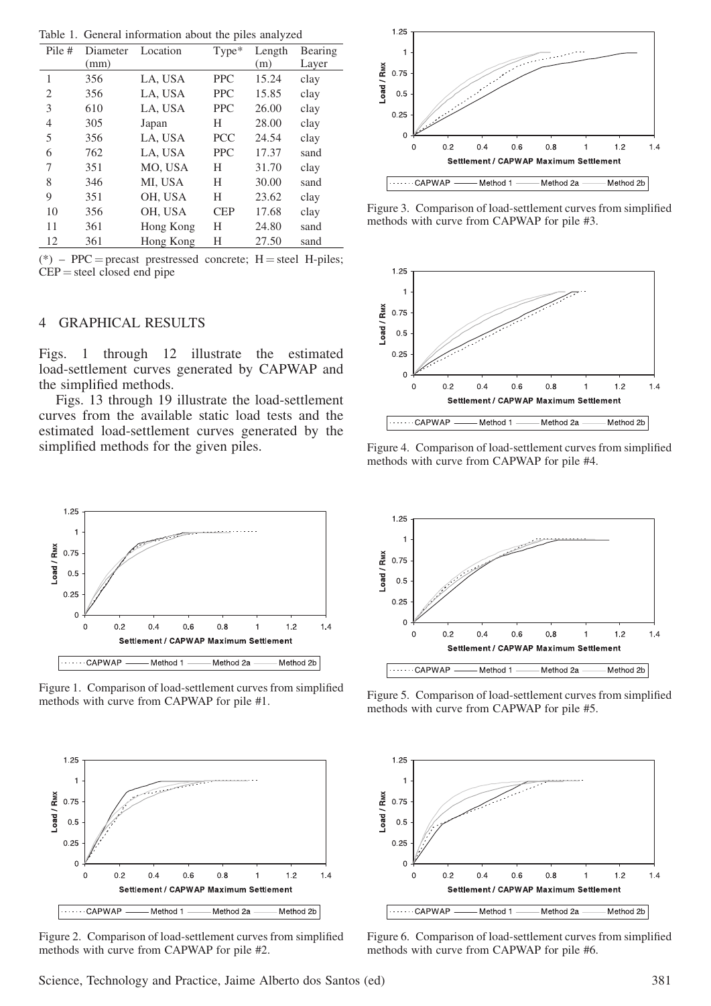Table 1. General information about the piles analyzed

| Pile #         | Diameter | Location  | Type*      | Length | Bearing |
|----------------|----------|-----------|------------|--------|---------|
|                | (mm)     |           |            | (m)    | Layer   |
| 1              | 356      | LA, USA   | <b>PPC</b> | 15.24  | clay    |
| $\overline{2}$ | 356      | LA, USA   | <b>PPC</b> | 15.85  | clay    |
| 3              | 610      | LA, USA   | <b>PPC</b> | 26.00  | clay    |
| $\overline{4}$ | 305      | Japan     | H          | 28.00  | clay    |
| 5              | 356      | LA, USA   | <b>PCC</b> | 24.54  | clay    |
| 6              | 762      | LA, USA   | <b>PPC</b> | 17.37  | sand    |
| 7              | 351      | MO, USA   | Н          | 31.70  | clay    |
| 8              | 346      | MI, USA   | Н          | 30.00  | sand    |
| 9              | 351      | OH, USA   | Н          | 23.62  | clay    |
| 10             | 356      | OH, USA   | <b>CEP</b> | 17.68  | clay    |
| 11             | 361      | Hong Kong | H          | 24.80  | sand    |
| 12             | 361      | Hong Kong | Н          | 27.50  | sand    |

(\*) – PPC = precast prestressed concrete;  $H =$  steel H-piles;  $CEP =$  steel closed end pipe

#### 4 GRAPHICAL RESULTS

Figs. 1 through 12 illustrate the estimated load-settlement curves generated by CAPWAP and the simplified methods.

Figs. 13 through 19 illustrate the load-settlement curves from the available static load tests and the estimated load-settlement curves generated by the simplified methods for the given piles.



Figure 1. Comparison of load-settlement curves from simplified methods with curve from CAPWAP for pile #1.



Figure 2. Comparison of load-settlement curves from simplified methods with curve from CAPWAP for pile #2.



Figure 3. Comparison of load-settlement curves from simplified methods with curve from CAPWAP for pile #3.



Figure 4. Comparison of load-settlement curves from simplified methods with curve from CAPWAP for pile #4.



Figure 5. Comparison of load-settlement curves from simplified methods with curve from CAPWAP for pile #5.



Figure 6. Comparison of load-settlement curves from simplified methods with curve from CAPWAP for pile #6.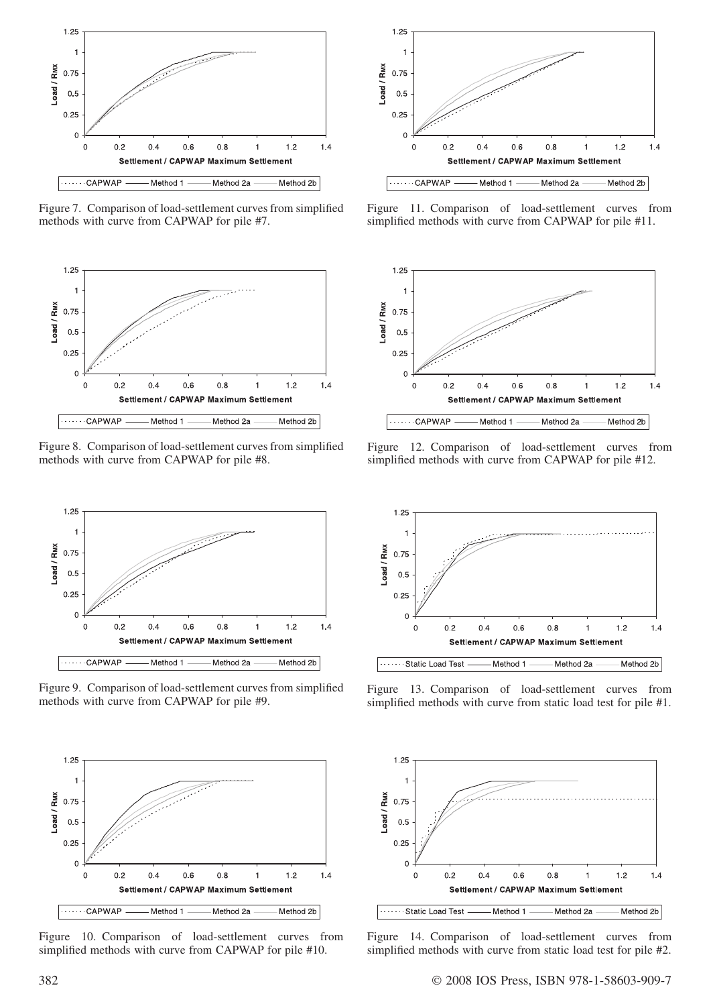

Figure 7. Comparison of load-settlement curves from simplified methods with curve from CAPWAP for pile #7.

![](_page_3_Figure_2.jpeg)

Figure 8. Comparison of load-settlement curves from simplified methods with curve from CAPWAP for pile #8.

![](_page_3_Figure_4.jpeg)

Figure 9. Comparison of load-settlement curves from simplified methods with curve from CAPWAP for pile #9.

![](_page_3_Figure_6.jpeg)

Figure 10. Comparison of load-settlement curves from simplified methods with curve from CAPWAP for pile #10.

![](_page_3_Figure_8.jpeg)

Figure 11. Comparison of load-settlement curves from simplified methods with curve from CAPWAP for pile #11.

![](_page_3_Figure_10.jpeg)

Figure 12. Comparison of load-settlement curves from simplified methods with curve from CAPWAP for pile #12.

![](_page_3_Figure_12.jpeg)

Figure 13. Comparison of load-settlement curves from simplified methods with curve from static load test for pile #1.

![](_page_3_Figure_14.jpeg)

Figure 14. Comparison of load-settlement curves from simplified methods with curve from static load test for pile #2.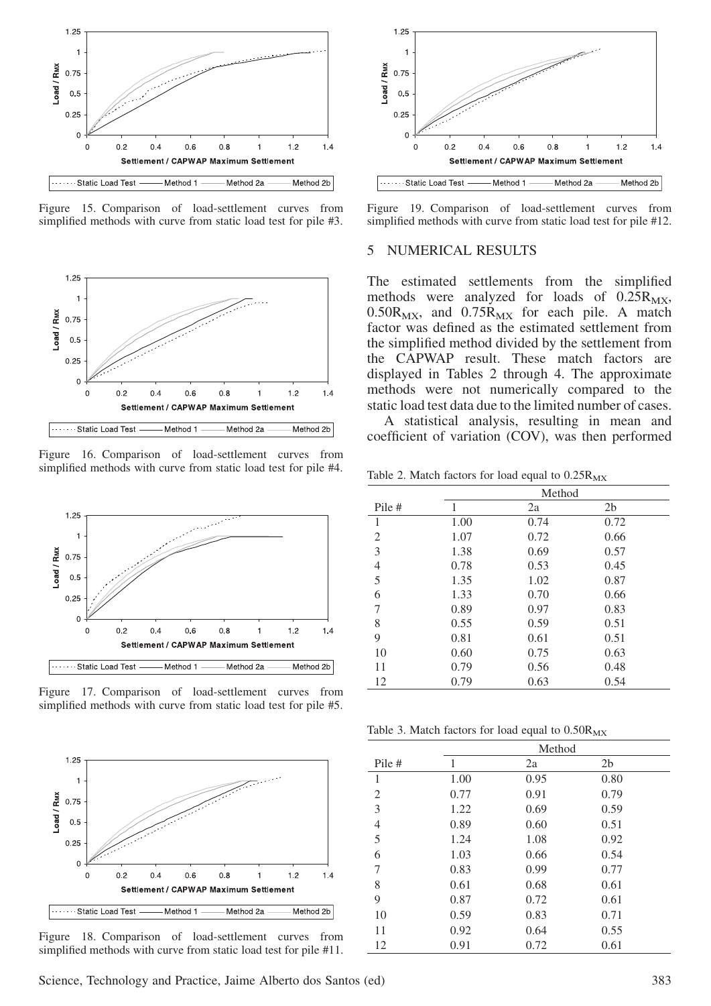![](_page_4_Figure_0.jpeg)

Figure 15. Comparison of load-settlement curves from simplified methods with curve from static load test for pile #3.

![](_page_4_Figure_2.jpeg)

Figure 16. Comparison of load-settlement curves from simplified methods with curve from static load test for pile #4.

![](_page_4_Figure_4.jpeg)

Figure 17. Comparison of load-settlement curves from simplified methods with curve from static load test for pile #5.

![](_page_4_Figure_6.jpeg)

Figure 18. Comparison of load-settlement curves from simplified methods with curve from static load test for pile #11.

![](_page_4_Figure_8.jpeg)

Figure 19. Comparison of load-settlement curves from simplified methods with curve from static load test for pile #12.

## 5 NUMERICAL RESULTS

The estimated settlements from the simplified methods were analyzed for loads of  $0.25R_{MX}$ ,  $0.50R_{MX}$ , and  $0.75R_{MX}$  for each pile. A match factor was defined as the estimated settlement from the simplified method divided by the settlement from the CAPWAP result. These match factors are displayed in Tables 2 through 4. The approximate methods were not numerically compared to the static load test data due to the limited number of cases.

A statistical analysis, resulting in mean and coefficient of variation (COV), was then performed

Table 2. Match factors for load equal to  $0.25R_{MX}$ 

|        |      | Method |                |  |  |
|--------|------|--------|----------------|--|--|
| Pile # | 1    | 2a     | 2 <sub>b</sub> |  |  |
| 1      | 1.00 | 0.74   | 0.72           |  |  |
| 2      | 1.07 | 0.72   | 0.66           |  |  |
| 3      | 1.38 | 0.69   | 0.57           |  |  |
| 4      | 0.78 | 0.53   | 0.45           |  |  |
| 5      | 1.35 | 1.02   | 0.87           |  |  |
| 6      | 1.33 | 0.70   | 0.66           |  |  |
| 7      | 0.89 | 0.97   | 0.83           |  |  |
| 8      | 0.55 | 0.59   | 0.51           |  |  |
| 9      | 0.81 | 0.61   | 0.51           |  |  |
| 10     | 0.60 | 0.75   | 0.63           |  |  |
| 11     | 0.79 | 0.56   | 0.48           |  |  |
| 12     | 0.79 | 0.63   | 0.54           |  |  |

Table 3. Match factors for load equal to  $0.50R_{MX}$ 

|        | Method |      |                |  |
|--------|--------|------|----------------|--|
| Pile # | 1      | 2a   | 2 <sub>b</sub> |  |
| 1      | 1.00   | 0.95 | 0.80           |  |
| 2      | 0.77   | 0.91 | 0.79           |  |
| 3      | 1.22   | 0.69 | 0.59           |  |
| 4      | 0.89   | 0.60 | 0.51           |  |
| 5      | 1.24   | 1.08 | 0.92           |  |
| 6      | 1.03   | 0.66 | 0.54           |  |
| 7      | 0.83   | 0.99 | 0.77           |  |
| 8      | 0.61   | 0.68 | 0.61           |  |
| 9      | 0.87   | 0.72 | 0.61           |  |
| 10     | 0.59   | 0.83 | 0.71           |  |
| 11     | 0.92   | 0.64 | 0.55           |  |
| 12     | 0.91   | 0.72 | 0.61           |  |

Science, Technology and Practice, Jaime Alberto dos Santos (ed) 383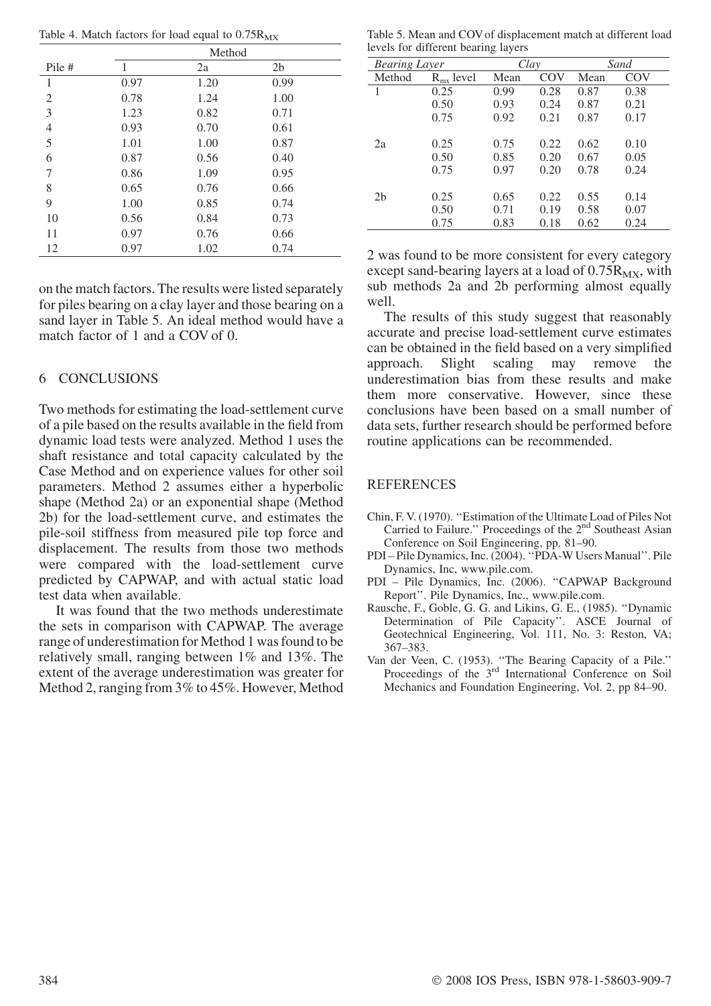Table 4. Match factors for load equal to  $0.75R_{MX}$ 

|                | Method |      |                |  |
|----------------|--------|------|----------------|--|
| Pile #         | 1      | 2a   | 2 <sub>b</sub> |  |
| 1              | 0.97   | 1.20 | 0.99           |  |
| $\overline{2}$ | 0.78   | 1.24 | 1.00           |  |
| 3              | 1.23   | 0.82 | 0.71           |  |
| 4              | 0.93   | 0.70 | 0.61           |  |
| 5              | 1.01   | 1.00 | 0.87           |  |
| 6              | 0.87   | 0.56 | 0.40           |  |
| 7              | 0.86   | 1.09 | 0.95           |  |
| 8              | 0.65   | 0.76 | 0.66           |  |
| 9              | 1.00   | 0.85 | 0.74           |  |
| 10             | 0.56   | 0.84 | 0.73           |  |
| 11             | 0.97   | 0.76 | 0.66           |  |
| 12             | 0.97   | 1.02 | 0.74           |  |

on the match factors. The results were listed separately for piles bearing on a clay layer and those bearing on a sand layer in Table 5. An ideal method would have a match factor of 1 and a COV of 0.

# 6 CONCLUSIONS

Two methods for estimating the load-settlement curve of a pile based on the results available in the field from dynamic load tests were analyzed. Method 1 uses the shaft resistance and total capacity calculated by the Case Method and on experience values for other soil parameters. Method 2 assumes either a hyperbolic shape (Method 2a) or an exponential shape (Method 2b) for the load-settlement curve, and estimates the pile-soil stiffness from measured pile top force and displacement. The results from those two methods were compared with the load-settlement curve predicted by CAPWAP, and with actual static load test data when available.

It was found that the two methods underestimate the sets in comparison with CAPWAP. The average range of underestimation for Method 1 was found to be relatively small, ranging between 1% and 13%. The extent of the average underestimation was greater for Method 2, ranging from 3% to 45%. However, Method

Table 5. Mean and COV of displacement match at different load levels for different bearing layers

| <b>Bearing Layer</b> |                | Clay |      | Sand |      |
|----------------------|----------------|------|------|------|------|
| Method               | $R_{mx}$ level | Mean | COV  | Mean | COV  |
| 1                    | 0.25           | 0.99 | 0.28 | 0.87 | 0.38 |
|                      | 0.50           | 0.93 | 0.24 | 0.87 | 0.21 |
|                      | 0.75           | 0.92 | 0.21 | 0.87 | 0.17 |
|                      |                |      |      |      |      |
| 2a                   | 0.25           | 0.75 | 0.22 | 0.62 | 0.10 |
|                      | 0.50           | 0.85 | 0.20 | 0.67 | 0.05 |
|                      | 0.75           | 0.97 | 0.20 | 0.78 | 0.24 |
|                      |                |      |      |      |      |
| 2 <sub>b</sub>       | 0.25           | 0.65 | 0.22 | 0.55 | 0.14 |
|                      | 0.50           | 0.71 | 0.19 | 0.58 | 0.07 |
|                      | 0.75           | 0.83 | 0.18 | 0.62 | 0.24 |

2 was found to be more consistent for every category except sand-bearing layers at a load of  $0.75R_{\text{MX}}$ , with sub methods 2a and 2b performing almost equally well.

The results of this study suggest that reasonably accurate and precise load-settlement curve estimates can be obtained in the field based on a very simplified approach. Slight scaling may remove the underestimation bias from these results and make them more conservative. However, since these conclusions have been based on a small number of data sets, further research should be performed before routine applications can be recommended.

## REFERENCES

- Chin, F. V. (1970). ''Estimation of the Ultimate Load of Piles Not Carried to Failure.'' Proceedings of the 2nd Southeast Asian Conference on Soil Engineering, pp. 81–90.
- PDI Pile Dynamics, Inc. (2004). ''PDA-W Users Manual''. Pile Dynamics, Inc, www.pile.com.
- PDI Pile Dynamics, Inc. (2006). ''CAPWAP Background Report''. Pile Dynamics, Inc., www.pile.com.
- Rausche, F., Goble, G. G. and Likins, G. E., (1985). ''Dynamic Determination of Pile Capacity''. ASCE Journal of Geotechnical Engineering, Vol. 111, No. 3: Reston, VA; 367–383.
- Van der Veen, C. (1953). ''The Bearing Capacity of a Pile.'' Proceedings of the 3<sup>rd</sup> International Conference on Soil Mechanics and Foundation Engineering, Vol. 2, pp 84–90.